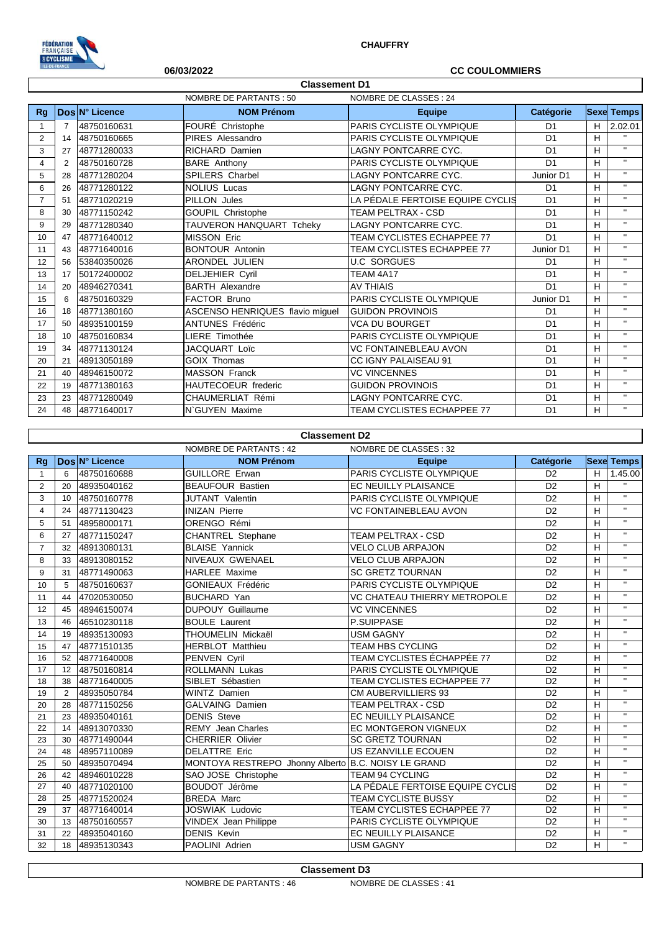

## **CHAUFFRY**

| ILE-DE-FRANCE<br>06/03/2022                       |                |                |                                 | <b>CC COULOMMIERS</b>             |                |             |              |  |  |  |
|---------------------------------------------------|----------------|----------------|---------------------------------|-----------------------------------|----------------|-------------|--------------|--|--|--|
| <b>Classement D1</b>                              |                |                |                                 |                                   |                |             |              |  |  |  |
| NOMBRE DE PARTANTS : 50<br>NOMBRE DE CLASSES : 24 |                |                |                                 |                                   |                |             |              |  |  |  |
| Rq                                                |                | Dos N° Licence | <b>NOM Prénom</b>               | <b>Equipe</b>                     | Catégorie      | <b>Sexe</b> | <b>Temps</b> |  |  |  |
| $\mathbf{1}$                                      | $\overline{7}$ | 48750160631    | FOURÉ Christophe                | PARIS CYCLISTE OLYMPIQUE          | D <sub>1</sub> | н           | 2.02.01      |  |  |  |
| 2                                                 | 14             | 48750160665    | PIRES Alessandro                | PARIS CYCLISTE OLYMPIQUE          | D <sub>1</sub> | Н           | $\mathbf{H}$ |  |  |  |
| 3                                                 | 27             | 48771280033    | RICHARD Damien                  | <b>LAGNY PONTCARRE CYC.</b>       | D <sub>1</sub> | н           | $\mathbf{H}$ |  |  |  |
| 4                                                 | 2              | 48750160728    | <b>BARE Anthony</b>             | PARIS CYCLISTE OLYMPIQUE          | D <sub>1</sub> | н           | $\mathbf{H}$ |  |  |  |
| 5                                                 | 28             | 48771280204    | <b>SPILERS Charbel</b>          | <b>LAGNY PONTCARRE CYC.</b>       | Junior D1      | Н           | $\mathbf{H}$ |  |  |  |
| 6                                                 | 26             | 48771280122    | <b>NOLIUS Lucas</b>             | <b>LAGNY PONTCARRE CYC.</b>       | D <sub>1</sub> | H           | $\mathbf{H}$ |  |  |  |
| $\overline{7}$                                    | 51             | 48771020219    | PILLON Jules                    | LA PÉDALE FERTOISE EQUIPE CYCLIS  | D <sub>1</sub> | н           | $\mathbf{u}$ |  |  |  |
| 8                                                 | 30             | 48771150242    | <b>GOUPIL Christophe</b>        | <b>TEAM PELTRAX - CSD</b>         | D <sub>1</sub> | Н           | $\mathbf{u}$ |  |  |  |
| 9                                                 | 29             | 48771280340    | TAUVERON HANQUART Tcheky        | <b>LAGNY PONTCARRE CYC.</b>       | D <sub>1</sub> | н           | $\mathbf{H}$ |  |  |  |
| 10                                                | 47             | 48771640012    | <b>MISSON Eric</b>              | TEAM CYCLISTES ECHAPPEE 77        | D <sub>1</sub> | H           | $\mathbf{H}$ |  |  |  |
| 11                                                | 43             | 48771640016    | <b>BONTOUR Antonin</b>          | <b>TEAM CYCLISTES ECHAPPEE 77</b> | Junior D1      | н           | $\mathbf{u}$ |  |  |  |
| 12                                                | 56             | 53840350026    | <b>ARONDEL JULIEN</b>           | <b>U.C SORGUES</b>                | D <sub>1</sub> | H           | $\mathbf{u}$ |  |  |  |
| 13                                                | 17             | 50172400002    | <b>DELJEHIER Cyril</b>          | TEAM 4A17                         | D <sub>1</sub> | н           | $\mathbf{u}$ |  |  |  |
| 14                                                | 20             | 48946270341    | <b>BARTH Alexandre</b>          | <b>AV THIAIS</b>                  | D <sub>1</sub> | н           | $\mathbf{u}$ |  |  |  |
| 15                                                | 6              | 48750160329    | <b>FACTOR Bruno</b>             | PARIS CYCLISTE OLYMPIQUE          | Junior D1      | H           | $\mathbf{H}$ |  |  |  |
| 16                                                | 18             | 48771380160    | ASCENSO HENRIQUES flavio miquel | <b>GUIDON PROVINOIS</b>           | D <sub>1</sub> | H           | $\mathbf{H}$ |  |  |  |
| 17                                                | 50             | 48935100159    | <b>ANTUNES Frédéric</b>         | <b>VCA DU BOURGET</b>             | D <sub>1</sub> | н           | $\mathbf{u}$ |  |  |  |
| 18                                                | 10             | 48750160834    | LIERE Timothée                  | PARIS CYCLISTE OLYMPIQUE          | D <sub>1</sub> | H           | $\mathbf{H}$ |  |  |  |
| 19                                                | 34             | 48771130124    | JACQUART Loïc                   | <b>VC FONTAINEBLEAU AVON</b>      | D <sub>1</sub> | н           | $\mathbf{u}$ |  |  |  |
| 20                                                | 21             | 48913050189    | <b>GOIX Thomas</b>              | <b>CC IGNY PALAISEAU 91</b>       | D <sub>1</sub> | н           | $\mathbf{u}$ |  |  |  |
| 21                                                | 40             | 48946150072    | <b>MASSON Franck</b>            | <b>VC VINCENNES</b>               | D <sub>1</sub> | H           | $\mathbf{u}$ |  |  |  |
| 22                                                | 19             | 48771380163    | <b>HAUTECOEUR</b> frederic      | <b>GUIDON PROVINOIS</b>           | D <sub>1</sub> | н           | $\mathbf{H}$ |  |  |  |
| 23                                                | 23             | 48771280049    | CHAUMERLIAT Rémi                | <b>LAGNY PONTCARRE CYC.</b>       | D <sub>1</sub> | н           | $\mathbf{H}$ |  |  |  |
| 24                                                | 48             | 48771640017    | N'GUYEN Maxime                  | TEAM CYCLISTES ECHAPPEE 77        | D <sub>1</sub> | H           | $\mathbf{u}$ |  |  |  |

| <b>Classement D2</b> |                                                         |                |                                                     |                                   |                |   |                                |  |
|----------------------|---------------------------------------------------------|----------------|-----------------------------------------------------|-----------------------------------|----------------|---|--------------------------------|--|
|                      | <b>NOMBRE DE PARTANTS: 42</b><br>NOMBRE DE CLASSES : 32 |                |                                                     |                                   |                |   |                                |  |
| Rg                   |                                                         | Dos N° Licence | <b>NOM Prénom</b>                                   | <b>Equipe</b>                     | Catégorie      |   | <b>Sexe Temps</b>              |  |
| $\mathbf{1}$         | 6                                                       | 48750160688    | <b>GUILLORE Erwan</b>                               | PARIS CYCLISTE OLYMPIQUE          | D <sub>2</sub> | H | 1.45.00                        |  |
| 2                    | 20                                                      | 48935040162    | <b>BEAUFOUR Bastien</b>                             | EC NEUILLY PLAISANCE              | D <sub>2</sub> | H | $\mathbf{H}$                   |  |
| 3                    | 10                                                      | 48750160778    | <b>JUTANT Valentin</b>                              | PARIS CYCLISTE OLYMPIQUE          | D <sub>2</sub> | H | $\mathbf{u}$                   |  |
| $\overline{4}$       | 24                                                      | 48771130423    | <b>INIZAN Pierre</b>                                | <b>VC FONTAINEBLEAU AVON</b>      | D <sub>2</sub> | H | $\mathbf{H}$                   |  |
| 5                    | 51                                                      | 48958000171    | ORENGO Rémi                                         |                                   | D <sub>2</sub> | н | $\mathbf{H}$                   |  |
| 6                    | 27                                                      | 48771150247    | CHANTREL Stephane                                   | <b>TEAM PELTRAX - CSD</b>         | D <sub>2</sub> | H | $\mathbf{H}$                   |  |
| $\overline{7}$       | 32                                                      | 48913080131    | <b>BLAISE Yannick</b>                               | <b>VELO CLUB ARPAJON</b>          | D <sub>2</sub> | H | $\mathbf{H}$                   |  |
| 8                    | 33                                                      | 48913080152    | NIVEAUX GWENAEL                                     | <b>VELO CLUB ARPAJON</b>          | D <sub>2</sub> | H | $\mathbf{H}$                   |  |
| 9                    | 31                                                      | 48771490063    | <b>HARLEE Maxime</b>                                | <b>SC GRETZ TOURNAN</b>           | D <sub>2</sub> | H | $\mathbf{H}$                   |  |
| 10                   | 5                                                       | 48750160637    | <b>GONIEAUX Frédéric</b>                            | PARIS CYCLISTE OLYMPIQUE          | D <sub>2</sub> | H | $\mathbf{H}$                   |  |
| 11                   | 44                                                      | 47020530050    | <b>BUCHARD Yan</b>                                  | VC CHATEAU THIERRY METROPOLE      | D <sub>2</sub> | н | $\mathbf{H}$                   |  |
| 12                   | 45                                                      | 48946150074    | <b>DUPOUY Guillaume</b>                             | <b>VC VINCENNES</b>               | D <sub>2</sub> | H | $\mathbf{H}$                   |  |
| 13                   | 46                                                      | 46510230118    | <b>BOULE Laurent</b>                                | <b>P.SUIPPASE</b>                 | D <sub>2</sub> | H | $\mathbf{H}$                   |  |
| 14                   | 19                                                      | 48935130093    | <b>THOUMELIN Mickaël</b>                            | <b>USM GAGNY</b>                  | D <sub>2</sub> | H | $\mathbf{H}$                   |  |
| 15                   | 47                                                      | 48771510135    | <b>HERBLOT Matthieu</b>                             | TEAM HBS CYCLING                  | D <sub>2</sub> | H | $\mathbf{H}$                   |  |
| 16                   | 52                                                      | 48771640008    | PENVEN Cyril                                        | TEAM CYCLISTES ÉCHAPPÉE 77        | D <sub>2</sub> | H | $\mathbf{H}$                   |  |
| 17                   | 12                                                      | 48750160814    | <b>ROLLMANN Lukas</b>                               | PARIS CYCLISTE OLYMPIQUE          | D <sub>2</sub> | H | $\mathbf{H}$                   |  |
| 18                   | 38                                                      | 48771640005    | SIBLET Sébastien                                    | TEAM CYCLISTES ECHAPPEE 77        | D <sub>2</sub> | н | $\mathbf{H}$                   |  |
| 19                   | $\overline{2}$                                          | 48935050784    | <b>WINTZ Damien</b>                                 | <b>CM AUBERVILLIERS 93</b>        | D <sub>2</sub> | н | $\mathbf{H}$                   |  |
| 20                   | 28                                                      | 48771150256    | <b>GALVAING Damien</b>                              | <b>TEAM PELTRAX - CSD</b>         | D <sub>2</sub> | н | $\mathbf{H}$                   |  |
| 21                   | 23                                                      | 48935040161    | <b>DENIS Steve</b>                                  | <b>EC NEUILLY PLAISANCE</b>       | D <sub>2</sub> | H | $\mathbf{H}$                   |  |
| 22                   | 14                                                      | 48913070330    | <b>REMY</b> Jean Charles                            | <b>EC MONTGERON VIGNEUX</b>       | D <sub>2</sub> | H | $\mathbf{H}$                   |  |
| 23                   | 30                                                      | 48771490044    | <b>CHERRIER Olivier</b>                             | <b>SC GRETZ TOURNAN</b>           | D <sub>2</sub> | H | $\overline{\mathbf{u}}$        |  |
| 24                   | 48                                                      | 48957110089    | <b>DELATTRE Eric</b>                                | US EZANVILLE ECOUEN               | D <sub>2</sub> | H | $\mathbf{H}$                   |  |
| 25                   | 50                                                      | 48935070494    | MONTOYA RESTREPO Jhonny Alberto B.C. NOISY LE GRAND |                                   | D <sub>2</sub> | H | $\mathbf{H}$                   |  |
| 26                   | 42                                                      | 48946010228    | SAO JOSE Christophe                                 | <b>TEAM 94 CYCLING</b>            | D <sub>2</sub> | H | $\mathbf{H}$<br>$\overline{u}$ |  |
| 27                   | 40                                                      | 48771020100    | BOUDOT Jérôme                                       | LA PÉDALE FERTOISE EQUIPE CYCLIS  | D <sub>2</sub> | H | $\mathbf{H}$                   |  |
| 28                   | 25                                                      | 48771520024    | <b>BREDA Marc</b>                                   | <b>TEAM CYCLISTE BUSSY</b>        | D <sub>2</sub> | H | $\mathbf{u}$                   |  |
| 29                   | 37                                                      | 48771640014    | <b>JOSWIAK Ludovic</b>                              | <b>TEAM CYCLISTES ECHAPPEE 77</b> | D <sub>2</sub> | H | $\mathbf{u}$                   |  |
| 30                   | 13                                                      | 48750160557    | <b>VINDEX</b> Jean Philippe                         | PARIS CYCLISTE OLYMPIQUE          | D <sub>2</sub> | Н | $\mathbf{u}$                   |  |
| 31                   | 22                                                      | 48935040160    | <b>DENIS Kevin</b>                                  | EC NEUILLY PLAISANCE              | D <sub>2</sub> | H | $\mathbf{H}$                   |  |
| 32                   | 18                                                      | 48935130343    | PAOLINI Adrien                                      | <b>USM GAGNY</b>                  | D <sub>2</sub> | H |                                |  |

**Classement D3**

NOMBRE DE PARTANTS : 46 NOMBRE DE CLASSES : 41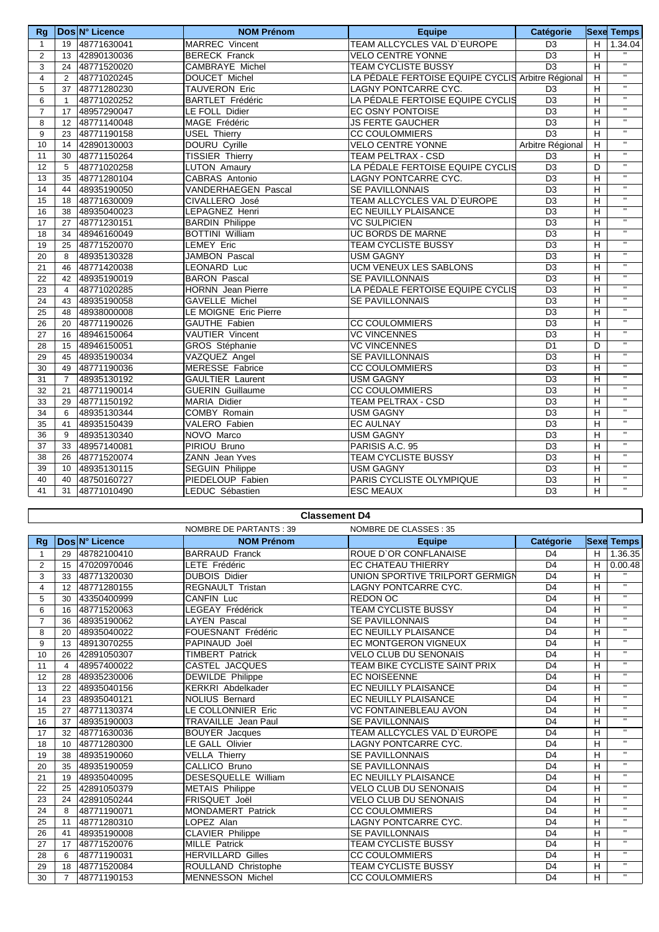| Rg              |                  | Dos N° Licence | <b>NOM Prénom</b>          | <b>Equipe</b>                                     | Catégorie        |   | <b>Sexe Temps</b>       |
|-----------------|------------------|----------------|----------------------------|---------------------------------------------------|------------------|---|-------------------------|
| $\mathbf{1}$    |                  | 19 48771630041 | MARREC Vincent             | TEAM ALLCYCLES VAL D'EUROPE                       | D <sub>3</sub>   | H | 1.34.04                 |
| $\overline{2}$  |                  | 13 42890130036 | <b>BERECK Franck</b>       | <b>VELO CENTRE YONNE</b>                          | $\overline{D3}$  | H |                         |
| 3               | 24               | 48771520020    | <b>CAMBRAYE Michel</b>     | <b>TEAM CYCLISTE BUSSY</b>                        | D3               | H | $\overline{w}$          |
| $\overline{4}$  | 2                | 48771020245    | DOUCET Michel              | LA PÉDALE FERTOISE EQUIPE CYCLIS Arbitre Régional |                  | H |                         |
| 5               | 37               | 48771280230    | <b>TAUVERON Eric</b>       | LAGNY PONTCARRE CYC.                              | D <sub>3</sub>   | H | $\overline{u}$          |
| 6               | $\overline{1}$   | 48771020252    | <b>BARTLET Frédéric</b>    | LA PÉDALE FERTOISE EQUIPE CYCLIS                  | D <sub>3</sub>   | н | Ŧ                       |
| $\overline{7}$  | 17               | 48957290047    | LE FOLL Didier             | EC OSNY PONTOISE                                  | D <sub>3</sub>   | н | Ŧ                       |
| 8               | 12               | 48771140048    | MAGE Frédéric              | <b>JS FERTE GAUCHER</b>                           | D <sub>3</sub>   | H |                         |
| 9               | 23               | 48771190158    | <b>USEL Thierry</b>        | <b>CC COULOMMIERS</b>                             | $\overline{D3}$  | H | Ŧ                       |
| 10              | 14               | 42890130003    | DOURU Cyrille              | <b>VELO CENTRE YONNE</b>                          | Arbitre Régional | H | Ŧ                       |
| 11              | 30               | 48771150264    | <b>TISSIER Thierry</b>     | <b>TEAM PELTRAX - CSD</b>                         | D <sub>3</sub>   | H | $\mathbf{u}$            |
| 12              | 5                | 48771020258    | <b>LUTON Amaury</b>        | LA PÉDALE FERTOISE EQUIPE CYCLIS                  | $\overline{D3}$  | D | $\overline{u}$          |
| 13              | 35               | 48771280104    | CABRAS Antonio             | <b>LAGNY PONTCARRE CYC.</b>                       | $\overline{D3}$  | H | $\overline{\mathbf{u}}$ |
| 14              | 44               | 48935190050    | <b>VANDERHAEGEN Pascal</b> | <b>SE PAVILLONNAIS</b>                            | $\overline{D3}$  | H | $\overline{u}$          |
| 15              | 18               | 48771630009    | CIVALLERO José             | TEAM ALLCYCLES VAL D'EUROPE                       | D <sub>3</sub>   | H | Ŧ                       |
| 16              | 38               | 48935040023    | LEPAGNEZ Henri             | EC NEUILLY PLAISANCE                              | D <sub>3</sub>   | н | $\mathbf{H}$            |
| 17              | 27               | 48771230151    | <b>BARDIN Philippe</b>     | <b>VC SULPICIEN</b>                               | D <sub>3</sub>   | H | $\mathbf{H}$            |
| 18              | 34               | 48946160049    | <b>BOTTINI William</b>     | <b>UC BORDS DE MARNE</b>                          | D <sub>3</sub>   | H | Ŧ                       |
| 19              | 25               | 48771520070    | <b>LEMEY Eric</b>          | <b>TEAM CYCLISTE BUSSY</b>                        | D <sub>3</sub>   | н | Ŧ                       |
| 20              | 8                | 48935130328    | JAMBON Pascal              | <b>USM GAGNY</b>                                  | D <sub>3</sub>   | H | $\mathbf{H}$            |
| 21              | 46               | 48771420038    | LEONARD Luc                | <b>UCM VENEUX LES SABLONS</b>                     | D3               | Н | $\overline{u}$          |
| 22              |                  | 42 48935190019 | <b>BARON Pascal</b>        | SE PAVILLONNAIS                                   | D <sub>3</sub>   | H | $\overline{u}$          |
| 23              | $\overline{4}$   | 48771020285    | HORNN Jean Pierre          | LA PÉDALE FERTOISE EQUIPE CYCLIS                  | D3               | H | $\overline{u}$          |
| 24              | 43               | 48935190058    | <b>GAVELLE Michel</b>      | SE PAVILLONNAIS                                   | D <sub>3</sub>   | H | Ŧ                       |
| 25              | 48               | 48938000008    | LE MOIGNE Eric Pierre      |                                                   | $\overline{D3}$  | H | $\overline{\mathbf{u}}$ |
| 26              | 20               | 48771190026    | <b>GAUTHE Fabien</b>       | <b>CC COULOMMIERS</b>                             | $\overline{D3}$  | H | $\overline{u}$          |
| 27              | 16               | 48946150064    | <b>VAUTIER Vincent</b>     | <b>VC VINCENNES</b>                               | D <sub>3</sub>   | H | $\overline{\mathbf{u}}$ |
| 28              | 15               | 48946150051    | GROS Stéphanie             | <b>VC VINCENNES</b>                               | D <sub>1</sub>   | D | Ŧ                       |
| 29              | 45               | 48935190034    | VAZQUEZ Angel              | <b>SE PAVILLONNAIS</b>                            | D <sub>3</sub>   | H | Ŧ                       |
| 30              | 49               | 48771190036    | MERESSE Fabrice            | <b>CC COULOMMIERS</b>                             | $\overline{D3}$  | H | $\overline{u}$          |
| 31              | $\overline{7}$   | 48935130192    | <b>GAULTIER Laurent</b>    | <b>USM GAGNY</b>                                  | $\overline{D3}$  | Н | $\overline{u}$          |
| 32              | 21               | 48771190014    | <b>GUERIN</b> Guillaume    | <b>CC COULOMMIERS</b>                             | D <sub>3</sub>   | н | $\overline{u}$          |
| 33              | 29               | 48771150192    | MARIA Didier               | TEAM PELTRAX - CSD                                | D <sub>3</sub>   | Н | $\overline{u}$          |
| 34              | 6                | 48935130344    | COMBY Romain               | <b>USM GAGNY</b>                                  | D <sub>3</sub>   | н | $\overline{u}$          |
| 35              | 41               | 48935150439    | VALERO Fabien              | <b>EC AULNAY</b>                                  | D <sub>3</sub>   | н | Ŧ                       |
| 36              | 9                | 48935130340    | NOVO Marco                 | <b>USM GAGNY</b>                                  | D <sub>3</sub>   | H | Ŧ                       |
| $\overline{37}$ | 33               | 48957140081    | PIRIOU Bruno               | PARISIS A.C. 95                                   | $\overline{D3}$  | H | $\overline{u}$          |
| 38              | 26               | 48771520074    | ZANN Jean Yves             | <b>TEAM CYCLISTE BUSSY</b>                        | $\overline{D3}$  | H | $\overline{u}$          |
| 39              | 10 <sup>10</sup> | 48935130115    | <b>SEGUIN Philippe</b>     | <b>USM GAGNY</b>                                  | D <sub>3</sub>   | H | $\overline{u}$          |
| 40              | 40               | 48750160727    | PIEDELOUP Fabien           | PARIS CYCLISTE OLYMPIQUE                          | D3               | H | $\overline{u}$          |
| 41              | 31               | 48771010490    | LEDUC Sébastien            | <b>ESC MEAUX</b>                                  | $\overline{D3}$  | H | $\overline{u}$          |

| <b>Classement D4</b> |                                                   |                |                            |                                 |                |   |                          |  |
|----------------------|---------------------------------------------------|----------------|----------------------------|---------------------------------|----------------|---|--------------------------|--|
|                      | NOMBRE DE PARTANTS : 39<br>NOMBRE DE CLASSES : 35 |                |                            |                                 |                |   |                          |  |
| Rg                   |                                                   | Dos N° Licence | <b>NOM Prénom</b>          | <b>Equipe</b>                   | Catégorie      |   | <b>Sexe Temps</b>        |  |
|                      | 29                                                | 48782100410    | <b>BARRAUD Franck</b>      | <b>ROUE D'OR CONFLANAISE</b>    | D <sub>4</sub> | H | 1.36.35                  |  |
| $\overline{2}$       | 15                                                | 47020970046    | LETE Frédéric              | <b>EC CHATEAU THIERRY</b>       | D <sub>4</sub> | H | 0.00.48                  |  |
| 3                    | 33                                                | 48771320030    | <b>DUBOIS Didier</b>       | UNION SPORTIVE TRILPORT GERMIGN | D <sub>4</sub> | H | $\mathbf{u}$             |  |
| 4                    | 12                                                | 48771280155    | <b>REGNAULT Tristan</b>    | <b>LAGNY PONTCARRE CYC.</b>     | D <sub>4</sub> | н | $\mathbf{H}$             |  |
| 5                    | 30                                                | 43350400999    | <b>CANFIN Luc</b>          | <b>REDON OC</b>                 | D <sub>4</sub> | H | $\mathbf{H}$             |  |
| 6                    | 16                                                | 48771520063    | LEGEAY Frédérick           | <b>TEAM CYCLISTE BUSSY</b>      | D <sub>4</sub> | H | $\mathbf{H}$             |  |
| $\overline{7}$       | 36                                                | 48935190062    | <b>LAYEN Pascal</b>        | <b>SE PAVILLONNAIS</b>          | D <sub>4</sub> | H | $\overline{\phantom{a}}$ |  |
| 8                    | 20                                                | 48935040022    | FOUESNANT Frédéric         | <b>EC NEUILLY PLAISANCE</b>     | D <sub>4</sub> | н | $\mathbf{H}$             |  |
| 9                    | 13                                                | 48913070255    | PAPINAUD Joël              | <b>EC MONTGERON VIGNEUX</b>     | D <sub>4</sub> | H | $\mathbf{H}$             |  |
| 10                   | 26                                                | 42891050307    | <b>TIMBERT Patrick</b>     | <b>VELO CLUB DU SENONAIS</b>    | D <sub>4</sub> | н | $\mathbf{H}$             |  |
| 11                   | 4                                                 | 48957400022    | CASTEL JACQUES             | TEAM BIKE CYCLISTE SAINT PRIX   | D <sub>4</sub> | H | $\mathbf{H}$             |  |
| 12                   | 28                                                | 48935230006    | <b>DEWILDE</b> Philippe    | <b>EC NOISEENNE</b>             | D <sub>4</sub> | H | $\mathbf{u}$             |  |
| 13                   | 22                                                | 48935040156    | <b>KERKRI Abdelkader</b>   | <b>EC NEUILLY PLAISANCE</b>     | D <sub>4</sub> | н | $\mathbf{H}$             |  |
| 14                   | 23                                                | 48935040121    | <b>NOLIUS Bernard</b>      | <b>EC NEUILLY PLAISANCE</b>     | D <sub>4</sub> | H | $\mathbf{H}$             |  |
| 15                   | 27                                                | 48771130374    | LE COLLONNIER Eric         | <b>VC FONTAINEBLEAU AVON</b>    | D <sub>4</sub> | H | $\mathbf{H}$             |  |
| 16                   | 37                                                | 48935190003    | <b>TRAVAILLE</b> Jean Paul | <b>SE PAVILLONNAIS</b>          | D <sub>4</sub> | H | $\mathbf{H}$             |  |
| 17                   | 32                                                | 48771630036    | <b>BOUYER</b> Jacques      | TEAM ALLCYCLES VAL D'EUROPE     | D <sub>4</sub> | н | $\mathbf{u}$             |  |
| 18                   | 10                                                | 48771280300    | <b>LE GALL Olivier</b>     | LAGNY PONTCARRE CYC.            | D <sub>4</sub> | н | $\mathbf{H}$             |  |
| 19                   | 38                                                | 48935190060    | <b>VELLA Thierry</b>       | <b>SE PAVILLONNAIS</b>          | D <sub>4</sub> | H | $\mathbf{H}$             |  |
| 20                   | 35                                                | 48935190059    | CALLICO Bruno              | <b>SE PAVILLONNAIS</b>          | D <sub>4</sub> | H | $\mathbf{H}$             |  |
| 21                   | 19                                                | 48935040095    | <b>DESESQUELLE William</b> | EC NEUILLY PLAISANCE            | D <sub>4</sub> | н | $\mathbf{H}$             |  |
| 22                   | 25                                                | 42891050379    | <b>METAIS Philippe</b>     | <b>VELO CLUB DU SENONAIS</b>    | D <sub>4</sub> | Н | $\mathbf{H}$             |  |
| 23                   | 24                                                | 42891050244    | FRISQUET Joël              | <b>VELO CLUB DU SENONAIS</b>    | D <sub>4</sub> | н | $\mathbf{H}$             |  |
| 24                   | 8                                                 | 48771190071    | <b>MONDAMERT Patrick</b>   | <b>CC COULOMMIERS</b>           | D <sub>4</sub> | н | $\mathbf{H}$             |  |
| 25                   | 11                                                | 48771280310    | LOPEZ Alan                 | <b>LAGNY PONTCARRE CYC.</b>     | D <sub>4</sub> | H | $\mathbf{H}$             |  |
| 26                   | 41                                                | 48935190008    | CLAVIER Philippe           | <b>SE PAVILLONNAIS</b>          | D <sub>4</sub> | H | $\mathbf{u}$             |  |
| 27                   | 17                                                | 48771520076    | <b>MILLE</b> Patrick       | <b>TEAM CYCLISTE BUSSY</b>      | D <sub>4</sub> | H | $\mathbf{u}$             |  |

 6 48771190031 HERVILLARD Gilles CC COULOMMIERS D4 H '' 29 | 18 |48771520084 |ROULLAND Christophe |TEAM CYCLISTE BUSSY | | H | " 7 48771190153 MENNESSON Michel CC COULOMMIERS D4 H ''